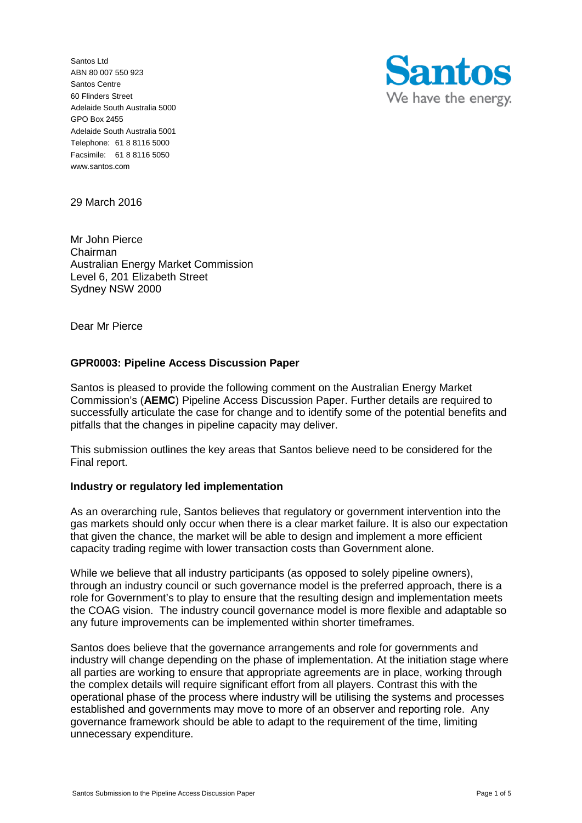Santos Ltd ABN 80 007 550 923 Santos Centre 60 Flinders Street Adelaide South Australia 5000 GPO Box 2455 Adelaide South Australia 5001 Telephone: 61 8 8116 5000 Facsimile: 61 8 8116 5050 www.santos.com



29 March 2016

Mr John Pierce Chairman Australian Energy Market Commission Level 6, 201 Elizabeth Street Sydney NSW 2000

Dear Mr Pierce

## **GPR0003: Pipeline Access Discussion Paper**

Santos is pleased to provide the following comment on the Australian Energy Market Commission's (**AEMC**) Pipeline Access Discussion Paper. Further details are required to successfully articulate the case for change and to identify some of the potential benefits and pitfalls that the changes in pipeline capacity may deliver.

This submission outlines the key areas that Santos believe need to be considered for the Final report.

#### **Industry or regulatory led implementation**

As an overarching rule, Santos believes that regulatory or government intervention into the gas markets should only occur when there is a clear market failure. It is also our expectation that given the chance, the market will be able to design and implement a more efficient capacity trading regime with lower transaction costs than Government alone.

While we believe that all industry participants (as opposed to solely pipeline owners), through an industry council or such governance model is the preferred approach, there is a role for Government's to play to ensure that the resulting design and implementation meets the COAG vision. The industry council governance model is more flexible and adaptable so any future improvements can be implemented within shorter timeframes.

Santos does believe that the governance arrangements and role for governments and industry will change depending on the phase of implementation. At the initiation stage where all parties are working to ensure that appropriate agreements are in place, working through the complex details will require significant effort from all players. Contrast this with the operational phase of the process where industry will be utilising the systems and processes established and governments may move to more of an observer and reporting role. Any governance framework should be able to adapt to the requirement of the time, limiting unnecessary expenditure.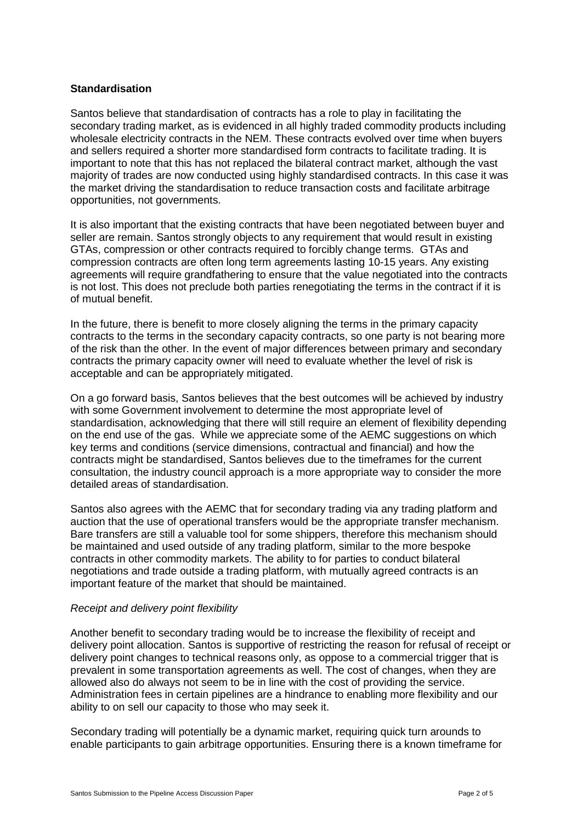## **Standardisation**

Santos believe that standardisation of contracts has a role to play in facilitating the secondary trading market, as is evidenced in all highly traded commodity products including wholesale electricity contracts in the NEM. These contracts evolved over time when buyers and sellers required a shorter more standardised form contracts to facilitate trading. It is important to note that this has not replaced the bilateral contract market, although the vast majority of trades are now conducted using highly standardised contracts. In this case it was the market driving the standardisation to reduce transaction costs and facilitate arbitrage opportunities, not governments.

It is also important that the existing contracts that have been negotiated between buyer and seller are remain. Santos strongly objects to any requirement that would result in existing GTAs, compression or other contracts required to forcibly change terms. GTAs and compression contracts are often long term agreements lasting 10-15 years. Any existing agreements will require grandfathering to ensure that the value negotiated into the contracts is not lost. This does not preclude both parties renegotiating the terms in the contract if it is of mutual benefit.

In the future, there is benefit to more closely aligning the terms in the primary capacity contracts to the terms in the secondary capacity contracts, so one party is not bearing more of the risk than the other. In the event of major differences between primary and secondary contracts the primary capacity owner will need to evaluate whether the level of risk is acceptable and can be appropriately mitigated.

On a go forward basis, Santos believes that the best outcomes will be achieved by industry with some Government involvement to determine the most appropriate level of standardisation, acknowledging that there will still require an element of flexibility depending on the end use of the gas. While we appreciate some of the AEMC suggestions on which key terms and conditions (service dimensions, contractual and financial) and how the contracts might be standardised, Santos believes due to the timeframes for the current consultation, the industry council approach is a more appropriate way to consider the more detailed areas of standardisation.

Santos also agrees with the AEMC that for secondary trading via any trading platform and auction that the use of operational transfers would be the appropriate transfer mechanism. Bare transfers are still a valuable tool for some shippers, therefore this mechanism should be maintained and used outside of any trading platform, similar to the more bespoke contracts in other commodity markets. The ability to for parties to conduct bilateral negotiations and trade outside a trading platform, with mutually agreed contracts is an important feature of the market that should be maintained.

#### *Receipt and delivery point flexibility*

Another benefit to secondary trading would be to increase the flexibility of receipt and delivery point allocation. Santos is supportive of restricting the reason for refusal of receipt or delivery point changes to technical reasons only, as oppose to a commercial trigger that is prevalent in some transportation agreements as well. The cost of changes, when they are allowed also do always not seem to be in line with the cost of providing the service. Administration fees in certain pipelines are a hindrance to enabling more flexibility and our ability to on sell our capacity to those who may seek it.

Secondary trading will potentially be a dynamic market, requiring quick turn arounds to enable participants to gain arbitrage opportunities. Ensuring there is a known timeframe for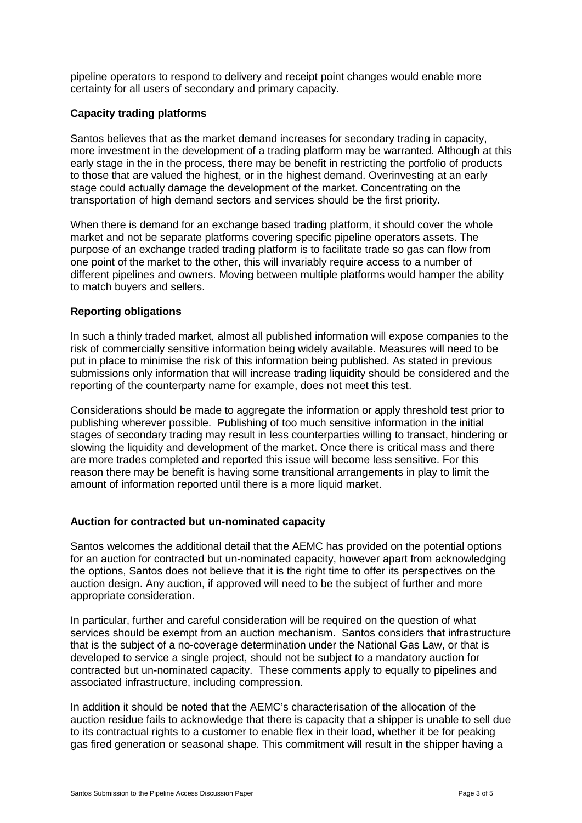pipeline operators to respond to delivery and receipt point changes would enable more certainty for all users of secondary and primary capacity.

# **Capacity trading platforms**

Santos believes that as the market demand increases for secondary trading in capacity, more investment in the development of a trading platform may be warranted. Although at this early stage in the in the process, there may be benefit in restricting the portfolio of products to those that are valued the highest, or in the highest demand. Overinvesting at an early stage could actually damage the development of the market. Concentrating on the transportation of high demand sectors and services should be the first priority.

When there is demand for an exchange based trading platform, it should cover the whole market and not be separate platforms covering specific pipeline operators assets. The purpose of an exchange traded trading platform is to facilitate trade so gas can flow from one point of the market to the other, this will invariably require access to a number of different pipelines and owners. Moving between multiple platforms would hamper the ability to match buyers and sellers.

## **Reporting obligations**

In such a thinly traded market, almost all published information will expose companies to the risk of commercially sensitive information being widely available. Measures will need to be put in place to minimise the risk of this information being published. As stated in previous submissions only information that will increase trading liquidity should be considered and the reporting of the counterparty name for example, does not meet this test.

Considerations should be made to aggregate the information or apply threshold test prior to publishing wherever possible. Publishing of too much sensitive information in the initial stages of secondary trading may result in less counterparties willing to transact, hindering or slowing the liquidity and development of the market. Once there is critical mass and there are more trades completed and reported this issue will become less sensitive. For this reason there may be benefit is having some transitional arrangements in play to limit the amount of information reported until there is a more liquid market.

#### **Auction for contracted but un-nominated capacity**

Santos welcomes the additional detail that the AEMC has provided on the potential options for an auction for contracted but un-nominated capacity, however apart from acknowledging the options, Santos does not believe that it is the right time to offer its perspectives on the auction design. Any auction, if approved will need to be the subject of further and more appropriate consideration.

In particular, further and careful consideration will be required on the question of what services should be exempt from an auction mechanism. Santos considers that infrastructure that is the subject of a no-coverage determination under the National Gas Law, or that is developed to service a single project, should not be subject to a mandatory auction for contracted but un-nominated capacity. These comments apply to equally to pipelines and associated infrastructure, including compression.

In addition it should be noted that the AEMC's characterisation of the allocation of the auction residue fails to acknowledge that there is capacity that a shipper is unable to sell due to its contractual rights to a customer to enable flex in their load, whether it be for peaking gas fired generation or seasonal shape. This commitment will result in the shipper having a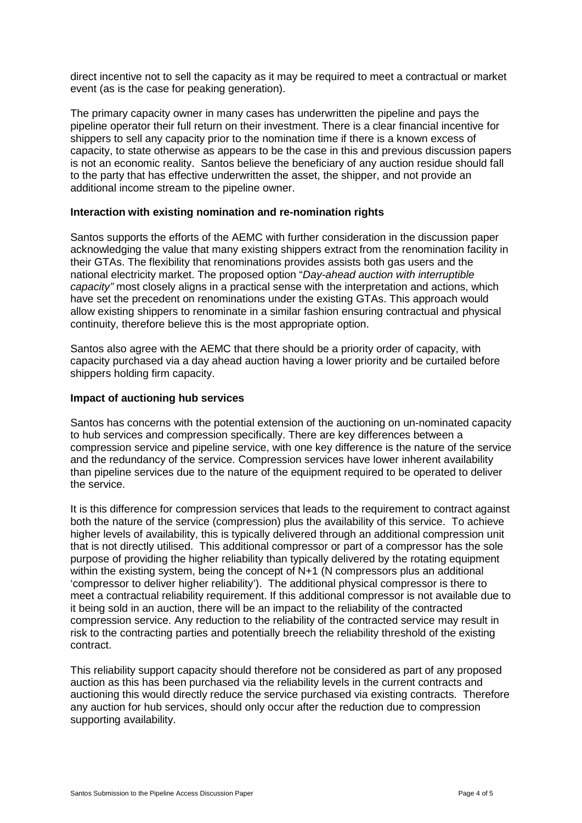direct incentive not to sell the capacity as it may be required to meet a contractual or market event (as is the case for peaking generation).

The primary capacity owner in many cases has underwritten the pipeline and pays the pipeline operator their full return on their investment. There is a clear financial incentive for shippers to sell any capacity prior to the nomination time if there is a known excess of capacity, to state otherwise as appears to be the case in this and previous discussion papers is not an economic reality. Santos believe the beneficiary of any auction residue should fall to the party that has effective underwritten the asset, the shipper, and not provide an additional income stream to the pipeline owner.

## **Interaction with existing nomination and re-nomination rights**

Santos supports the efforts of the AEMC with further consideration in the discussion paper acknowledging the value that many existing shippers extract from the renomination facility in their GTAs. The flexibility that renominations provides assists both gas users and the national electricity market. The proposed option "*Day-ahead auction with interruptible capacity"* most closely aligns in a practical sense with the interpretation and actions, which have set the precedent on renominations under the existing GTAs. This approach would allow existing shippers to renominate in a similar fashion ensuring contractual and physical continuity, therefore believe this is the most appropriate option.

Santos also agree with the AEMC that there should be a priority order of capacity, with capacity purchased via a day ahead auction having a lower priority and be curtailed before shippers holding firm capacity.

## **Impact of auctioning hub services**

Santos has concerns with the potential extension of the auctioning on un-nominated capacity to hub services and compression specifically. There are key differences between a compression service and pipeline service, with one key difference is the nature of the service and the redundancy of the service. Compression services have lower inherent availability than pipeline services due to the nature of the equipment required to be operated to deliver the service.

It is this difference for compression services that leads to the requirement to contract against both the nature of the service (compression) plus the availability of this service. To achieve higher levels of availability, this is typically delivered through an additional compression unit that is not directly utilised. This additional compressor or part of a compressor has the sole purpose of providing the higher reliability than typically delivered by the rotating equipment within the existing system, being the concept of N+1 (N compressors plus an additional 'compressor to deliver higher reliability'). The additional physical compressor is there to meet a contractual reliability requirement. If this additional compressor is not available due to it being sold in an auction, there will be an impact to the reliability of the contracted compression service. Any reduction to the reliability of the contracted service may result in risk to the contracting parties and potentially breech the reliability threshold of the existing contract.

This reliability support capacity should therefore not be considered as part of any proposed auction as this has been purchased via the reliability levels in the current contracts and auctioning this would directly reduce the service purchased via existing contracts. Therefore any auction for hub services, should only occur after the reduction due to compression supporting availability.